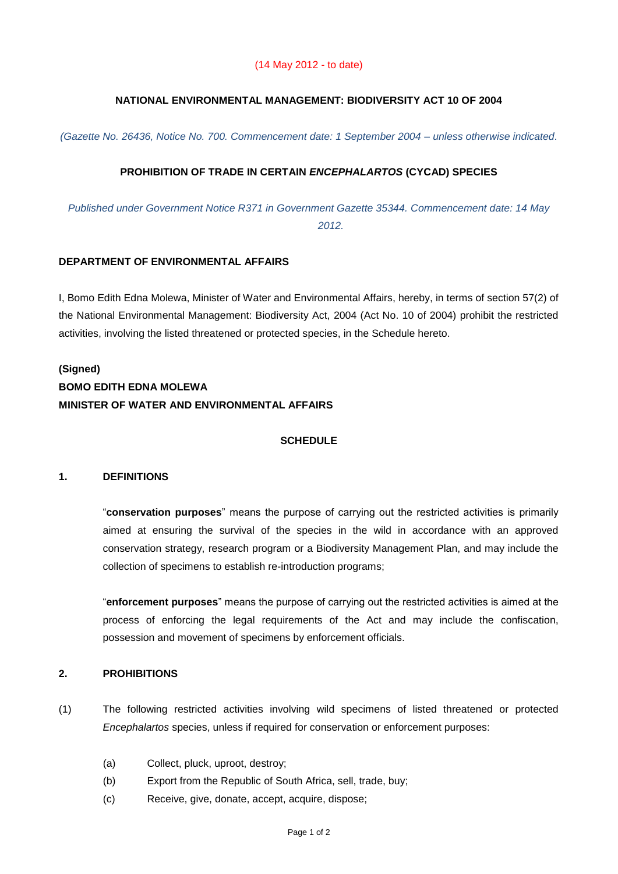## **NATIONAL ENVIRONMENTAL MANAGEMENT: BIODIVERSITY ACT 10 OF 2004**

*(Gazette No. 26436, Notice No. 700. Commencement date: 1 September 2004 – unless otherwise indicated.* 

## **PROHIBITION OF TRADE IN CERTAIN** *ENCEPHALARTOS* **(CYCAD) SPECIES**

*Published under Government Notice R371 in Government Gazette 35344. Commencement date: 14 May 2012.* 

#### **DEPARTMENT OF ENVIRONMENTAL AFFAIRS**

I, Bomo Edith Edna Molewa, Minister of Water and Environmental Affairs, hereby, in terms of section 57(2) of the National Environmental Management: Biodiversity Act, 2004 (Act No. 10 of 2004) prohibit the restricted activities, involving the listed threatened or protected species, in the Schedule hereto.

# **(Signed) BOMO EDITH EDNA MOLEWA MINISTER OF WATER AND ENVIRONMENTAL AFFAIRS**

#### **SCHEDULE**

#### **1. DEFINITIONS**

"**conservation purposes**" means the purpose of carrying out the restricted activities is primarily aimed at ensuring the survival of the species in the wild in accordance with an approved conservation strategy, research program or a Biodiversity Management Plan, and may include the collection of specimens to establish re-introduction programs;

"**enforcement purposes**" means the purpose of carrying out the restricted activities is aimed at the process of enforcing the legal requirements of the Act and may include the confiscation, possession and movement of specimens by enforcement officials.

#### **2. PROHIBITIONS**

- (1) The following restricted activities involving wild specimens of listed threatened or protected *Encephalartos* species, unless if required for conservation or enforcement purposes:
	- (a) Collect, pluck, uproot, destroy;
	- (b) Export from the Republic of South Africa, sell, trade, buy;
	- (c) Receive, give, donate, accept, acquire, dispose;